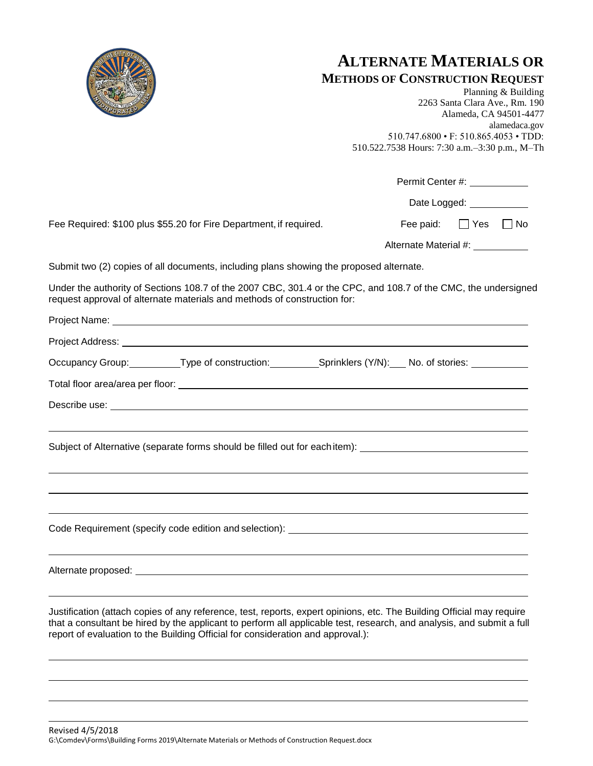

## **ALTERNATE MATERIALS OR**

|  | <b>METHODS OF CONSTRUCTION REQUEST</b> |  |  |
|--|----------------------------------------|--|--|
|--|----------------------------------------|--|--|

Planning & Building 2263 Santa Clara Ave., Rm. 190 Alameda, CA 94501-4477 alamedaca.gov 510.747.6800 • F: 510.865.4053 • TDD: 510.522.7538 Hours: 7:30 a.m.–3:30 p.m., M–Th

Permit Center #:

Date Logged: \_\_\_\_\_\_\_\_

Fee Required: \$100 plus \$55.20 for Fire Department, if required. Fee paid:  $\Box$  Yes  $\Box$  No

Alternate Material #:

Submit two (2) copies of all documents, including plans showing the proposed alternate.

Under the authority of Sections 108.7 of the 2007 CBC, 301.4 or the CPC, and 108.7 of the CMC, the undersigned request approval of alternate materials and methods of construction for:

| Occupancy Group: Type of construction: Sprinklers (Y/N): No. of stories: Nollocally Brown Divideo:                                                                                                                                                                                                        |  |
|-----------------------------------------------------------------------------------------------------------------------------------------------------------------------------------------------------------------------------------------------------------------------------------------------------------|--|
|                                                                                                                                                                                                                                                                                                           |  |
| Describe use: <u>example and the contract of the contract of the contract of the contract of the contract of the contract of the contract of the contract of the contract of the contract of the contract of the contract of the</u>                                                                      |  |
| <u> 2000 - Andrea Andrewski, amerikansk politik (d. 1982)</u><br>Subject of Alternative (separate forms should be filled out for each item): __________________________________<br><u> 1989 - Andrea Santana, amerikana amerikana amerikana amerikana amerikana amerikana amerikana amerikana amerika</u> |  |
| <u> 1989 - Andrea Santana, amerikana amerikana amerikana amerikana amerikana amerikana amerikana amerikana amerika</u>                                                                                                                                                                                    |  |
|                                                                                                                                                                                                                                                                                                           |  |
|                                                                                                                                                                                                                                                                                                           |  |
| <u> 1989 - Andrea Santa Alemania, amerikana amerikana amerikana amerikana amerikana amerikana amerikana amerikana</u><br>Justification (attach copies of any reference, test, reports, expert opinions, etc. The Building Official may require                                                            |  |

that a consultant be hired by the applicant to perform all applicable test, research, and analysis, and submit a full report of evaluation to the Building Official for consideration and approval.):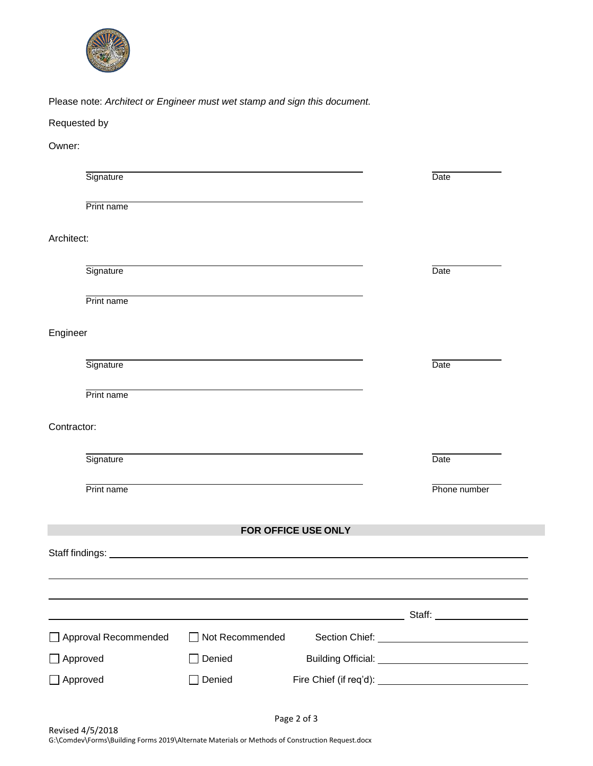

Please note: *Architect or Engineer must wet stamp and sign this document.*

## Requested by

Owner:

| Signature            |                 |                     | Date         |
|----------------------|-----------------|---------------------|--------------|
| Print name           |                 |                     |              |
| Architect:           |                 |                     |              |
| Signature            |                 |                     | Date         |
| Print name           |                 |                     |              |
| Engineer             |                 |                     |              |
| Signature            |                 |                     | Date         |
| Print name           |                 |                     |              |
| Contractor:          |                 |                     |              |
| Signature            |                 |                     | Date         |
| Print name           |                 |                     | Phone number |
|                      |                 | FOR OFFICE USE ONLY |              |
|                      |                 |                     |              |
|                      |                 |                     |              |
|                      |                 |                     |              |
| Approval Recommended | Not Recommended |                     |              |
| Approved             | Denied          |                     |              |
| Approved             | Denied          |                     |              |

Page 2 of 3